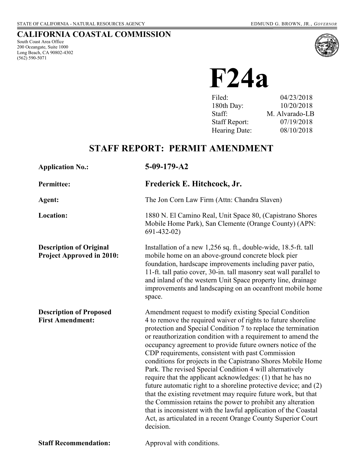# **CALIFORNIA COASTAL COMMISSION**

South Coast Area Office 200 Oceangate, Suite 1000 Long Beach, CA 90802-4302 (562) 590-5071



 **F24a** 

| Filed:               | 04/23/2018     |
|----------------------|----------------|
| 180th Day:           | 10/20/2018     |
| Staff:               | M. Alvarado-LB |
| <b>Staff Report:</b> | 07/19/2018     |
| Hearing Date:        | 08/10/2018     |
|                      |                |

# **STAFF REPORT: PERMIT AMENDMENT**

| <b>Application No.:</b>                                            | $5-09-179-A2$                                                                                                                                                                                                                                                                                                                                                                                                                                                                                                                                                                                                                                                                                                                                                                                                                                                                                                              |
|--------------------------------------------------------------------|----------------------------------------------------------------------------------------------------------------------------------------------------------------------------------------------------------------------------------------------------------------------------------------------------------------------------------------------------------------------------------------------------------------------------------------------------------------------------------------------------------------------------------------------------------------------------------------------------------------------------------------------------------------------------------------------------------------------------------------------------------------------------------------------------------------------------------------------------------------------------------------------------------------------------|
| <b>Permittee:</b>                                                  | Frederick E. Hitchcock, Jr.                                                                                                                                                                                                                                                                                                                                                                                                                                                                                                                                                                                                                                                                                                                                                                                                                                                                                                |
| Agent:                                                             | The Jon Corn Law Firm (Attn: Chandra Slaven)                                                                                                                                                                                                                                                                                                                                                                                                                                                                                                                                                                                                                                                                                                                                                                                                                                                                               |
| <b>Location:</b>                                                   | 1880 N. El Camino Real, Unit Space 80, (Capistrano Shores<br>Mobile Home Park), San Clemente (Orange County) (APN:<br>$691 - 432 - 02$                                                                                                                                                                                                                                                                                                                                                                                                                                                                                                                                                                                                                                                                                                                                                                                     |
| <b>Description of Original</b><br><b>Project Approved in 2010:</b> | Installation of a new 1,256 sq. ft., double-wide, 18.5-ft. tall<br>mobile home on an above-ground concrete block pier<br>foundation, hardscape improvements including paver patio,<br>11-ft. tall patio cover, 30-in. tall masonry seat wall parallel to<br>and inland of the western Unit Space property line, drainage<br>improvements and landscaping on an oceanfront mobile home<br>space.                                                                                                                                                                                                                                                                                                                                                                                                                                                                                                                            |
| <b>Description of Proposed</b><br><b>First Amendment:</b>          | Amendment request to modify existing Special Condition<br>4 to remove the required waiver of rights to future shoreline<br>protection and Special Condition 7 to replace the termination<br>or reauthorization condition with a requirement to amend the<br>occupancy agreement to provide future owners notice of the<br>CDP requirements, consistent with past Commission<br>conditions for projects in the Capistrano Shores Mobile Home<br>Park. The revised Special Condition 4 will alternatively<br>require that the applicant acknowledges: (1) that he has no<br>future automatic right to a shoreline protective device; and (2)<br>that the existing revetment may require future work, but that<br>the Commission retains the power to prohibit any alteration<br>that is inconsistent with the lawful application of the Coastal<br>Act, as articulated in a recent Orange County Superior Court<br>decision. |
| <b>Staff Recommendation:</b>                                       | Approval with conditions.                                                                                                                                                                                                                                                                                                                                                                                                                                                                                                                                                                                                                                                                                                                                                                                                                                                                                                  |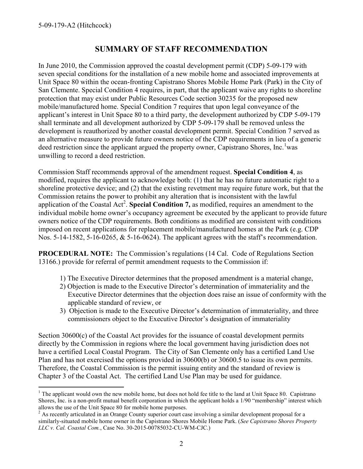$\overline{a}$ 

# **SUMMARY OF STAFF RECOMMENDATION**

In June 2010, the Commission approved the coastal development permit (CDP) 5-09-179 with seven special conditions for the installation of a new mobile home and associated improvements at Unit Space 80 within the ocean-fronting Capistrano Shores Mobile Home Park (Park) in the City of San Clemente. Special Condition 4 requires, in part, that the applicant waive any rights to shoreline protection that may exist under Public Resources Code section 30235 for the proposed new mobile/manufactured home. Special Condition 7 requires that upon legal conveyance of the applicant's interest in Unit Space 80 to a third party, the development authorized by CDP 5-09-179 shall terminate and all development authorized by CDP 5-09-179 shall be removed unless the development is reauthorized by another coastal development permit. Special Condition 7 served as an alternative measure to provide future owners notice of the CDP requirements in lieu of a generic deed restriction since the applicant argued the property owner, Capistrano Shores, Inc.<sup>1</sup>was unwilling to record a deed restriction.

Commission Staff recommends approval of the amendment request. **Special Condition 4**, as modified, requires the applicant to acknowledge both: (1) that he has no future automatic right to a shoreline protective device; and (2) that the existing revetment may require future work, but that the Commission retains the power to prohibit any alteration that is inconsistent with the lawful application of the Coastal Act<sup>2</sup>. Special Condition 7, as modified, requires an amendment to the individual mobile home owner's occupancy agreement be executed by the applicant to provide future owners notice of the CDP requirements. Both conditions as modified are consistent with conditions imposed on recent applications for replacement mobile/manufactured homes at the Park (e.g. CDP Nos. 5-14-1582, 5-16-0265, & 5-16-0624). The applicant agrees with the staff's recommendation.

**PROCEDURAL NOTE:** The Commission's regulations (14 Cal. Code of Regulations Section 13166.) provide for referral of permit amendment requests to the Commission if:

- 1) The Executive Director determines that the proposed amendment is a material change,
- 2) Objection is made to the Executive Director's determination of immateriality and the Executive Director determines that the objection does raise an issue of conformity with the applicable standard of review, or
- 3) Objection is made to the Executive Director's determination of immateriality, and three commissioners object to the Executive Director's designation of immateriality

Section 30600(c) of the Coastal Act provides for the issuance of coastal development permits directly by the Commission in regions where the local government having jurisdiction does not have a certified Local Coastal Program. The City of San Clemente only has a certified Land Use Plan and has not exercised the options provided in 30600(b) or 30600.5 to issue its own permits. Therefore, the Coastal Commission is the permit issuing entity and the standard of review is Chapter 3 of the Coastal Act. The certified Land Use Plan may be used for guidance.

 $1$  The applicant would own the new mobile home, but does not hold fee title to the land at Unit Space 80. Capistrano Shores, Inc. is a non-profit mutual benefit corporation in which the applicant holds a 1/90 "membership" interest which allows the use of the Unit Space 80 for mobile home purposes.

 $2$  As recently articulated in an Orange County superior court case involving a similar development proposal for a similarly-situated mobile home owner in the Capistrano Shores Mobile Home Park. (*See Capistrano Shores Property LLC v. Cal. Coastal Com.*, Case No. 30-2015-00785032-CU-WM-CJC.)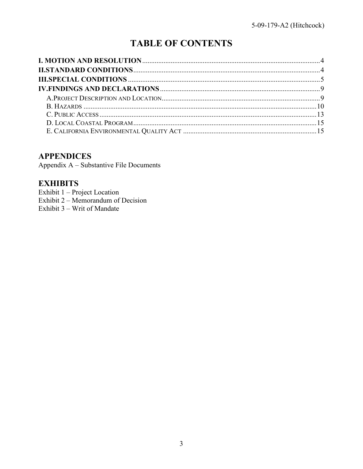# **TABLE OF CONTENTS**

### **APPENDICES**

Appendix A - Substantive File Documents

# **EXHIBITS**

Exhibit 1 – Project Location Exhibit  $2 - \text{Memorandum of Decision}$ Exhibit 3 – Writ of Mandate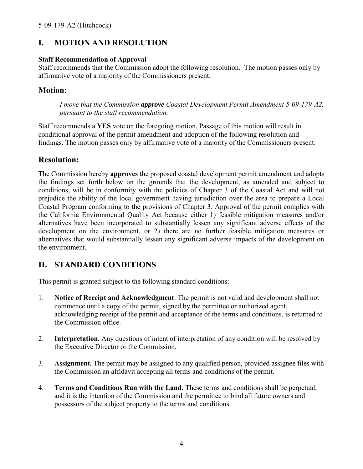# <span id="page-3-0"></span>**I. MOTION AND RESOLUTION**

#### **Staff Recommendation of Approval**

Staff recommends that the Commission adopt the following resolution. The motion passes only by affirmative vote of a majority of the Commissioners present.

### **Motion:**

*I move that the Commission approve Coastal Development Permit Amendment 5-09-179-A2, pursuant to the staff recommendation.* 

Staff recommends a **YES** vote on the foregoing motion. Passage of this motion will result in conditional approval of the permit amendment and adoption of the following resolution and findings. The motion passes only by affirmative vote of a majority of the Commissioners present.

# **Resolution:**

The Commission hereby **approves** the proposed coastal development permit amendment and adopts the findings set forth below on the grounds that the development, as amended and subject to conditions, will be in conformity with the policies of Chapter 3 of the Coastal Act and will not prejudice the ability of the local government having jurisdiction over the area to prepare a Local Coastal Program conforming to the provisions of Chapter 3. Approval of the permit complies with the California Environmental Quality Act because either 1) feasible mitigation measures and/or alternatives have been incorporated to substantially lessen any significant adverse effects of the development on the environment, or 2) there are no further feasible mitigation measures or alternatives that would substantially lessen any significant adverse impacts of the development on the environment.

# <span id="page-3-1"></span>**II. STANDARD CONDITIONS**

This permit is granted subject to the following standard conditions:

- 1. **Notice of Receipt and Acknowledgment**. The permit is not valid and development shall not commence until a copy of the permit, signed by the permittee or authorized agent, acknowledging receipt of the permit and acceptance of the terms and conditions, is returned to the Commission office.
- 2. **Interpretation.** Any questions of intent of interpretation of any condition will be resolved by the Executive Director or the Commission.
- 3. **Assignment.** The permit may be assigned to any qualified person, provided assignee files with the Commission an affidavit accepting all terms and conditions of the permit.
- 4. **Terms and Conditions Run with the Land.** These terms and conditions shall be perpetual, and it is the intention of the Commission and the permittee to bind all future owners and possessors of the subject property to the terms and conditions.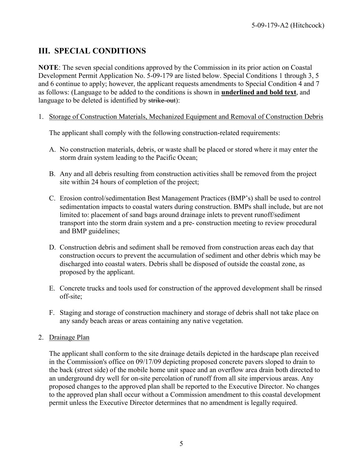# <span id="page-4-0"></span>**III. SPECIAL CONDITIONS**

**NOTE**: The seven special conditions approved by the Commission in its prior action on Coastal Development Permit Application No. 5-09-179 are listed below. Special Conditions 1 through 3, 5 and 6 continue to apply; however, the applicant requests amendments to Special Condition 4 and 7 as follows: (Language to be added to the conditions is shown in **underlined and bold text**, and language to be deleted is identified by strike-out):

1. Storage of Construction Materials, Mechanized Equipment and Removal of Construction Debris

The applicant shall comply with the following construction-related requirements:

- A. No construction materials, debris, or waste shall be placed or stored where it may enter the storm drain system leading to the Pacific Ocean;
- B. Any and all debris resulting from construction activities shall be removed from the project site within 24 hours of completion of the project;
- C. Erosion control/sedimentation Best Management Practices (BMP's) shall be used to control sedimentation impacts to coastal waters during construction. BMPs shall include, but are not limited to: placement of sand bags around drainage inlets to prevent runoff/sediment transport into the storm drain system and a pre- construction meeting to review procedural and BMP guidelines;
- D. Construction debris and sediment shall be removed from construction areas each day that construction occurs to prevent the accumulation of sediment and other debris which may be discharged into coastal waters. Debris shall be disposed of outside the coastal zone, as proposed by the applicant.
- E. Concrete trucks and tools used for construction of the approved development shall be rinsed off-site;
- F. Staging and storage of construction machinery and storage of debris shall not take place on any sandy beach areas or areas containing any native vegetation.

#### 2. Drainage Plan

The applicant shall conform to the site drainage details depicted in the hardscape plan received in the Commission's office on 09/17/09 depicting proposed concrete pavers sloped to drain to the back (street side) of the mobile home unit space and an overflow area drain both directed to an underground dry well for on-site percolation of runoff from all site impervious areas. Any proposed changes to the approved plan shall be reported to the Executive Director. No changes to the approved plan shall occur without a Commission amendment to this coastal development permit unless the Executive Director determines that no amendment is legally required.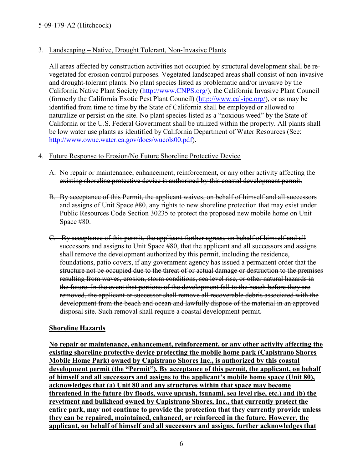#### 3. Landscaping – Native, Drought Tolerant, Non-Invasive Plants

All areas affected by construction activities not occupied by structural development shall be revegetated for erosion control purposes. Vegetated landscaped areas shall consist of non-invasive and drought-tolerant plants. No plant species listed as problematic and/or invasive by the California Native Plant Society [\(http://www.CNPS.org/\)](http://www.cnps.org/), the California Invasive Plant Council (formerly the California Exotic Pest Plant Council) [\(http://www.cal-ipc.org/\)](http://www.cal-ipc.org/), or as may be identified from time to time by the State of California shall be employed or allowed to naturalize or persist on the site. No plant species listed as a "noxious weed" by the State of California or the U.S. Federal Government shall be utilized within the property. All plants shall be low water use plants as identified by California Department of Water Resources (See: [http://www.owue.water.ca.gov/docs/wucols00.pdf\)](http://www.owue.water.ca.gov/docs/wucols00.pdf).

#### 4. Future Response to Erosion/No Future Shoreline Protective Device

- A. No repair or maintenance, enhancement, reinforcement, or any other activity affecting the existing shoreline protective device is authorized by this coastal development permit.
- B. By acceptance of this Permit, the applicant waives, on behalf of himself and all successors and assigns of Unit Space #80, any rights to new shoreline protection that may exist under Public Resources Code Section 30235 to protect the proposed new mobile home on Unit Space #80.
- C. By acceptance of this permit, the applicant further agrees, on behalf of himself and all successors and assigns to Unit Space #80, that the applicant and all successors and assigns shall remove the development authorized by this permit, including the residence, foundations, patio covers, if any government agency has issued a permanent order that the structure not be occupied due to the threat of or actual damage or destruction to the premises resulting from waves, erosion, storm conditions, sea level rise, or other natural hazards in the future. In the event that portions of the development fall to the beach before they are removed, the applicant or successor shall remove all recoverable debris associated with the development from the beach and ocean and lawfully dispose of the material in an approved disposal site. Such removal shall require a coastal development permit.

#### **Shoreline Hazards**

**No repair or maintenance, enhancement, reinforcement, or any other activity affecting the existing shoreline protective device protecting the mobile home park (Capistrano Shores Mobile Home Park) owned by Capistrano Shores Inc., is authorized by this coastal development permit (the "Permit"). By acceptance of this permit, the applicant, on behalf of himself and all successors and assigns to the applicant's mobile home space (Unit 80), acknowledges that (a) Unit 80 and any structures within that space may become threatened in the future (by floods, wave uprush, tsunami, sea level rise, etc.) and (b) the revetment and bulkhead owned by Capistrano Shores, Inc., that currently protect the entire park, may not continue to provide the protection that they currently provide unless they can be repaired, maintained, enhanced, or reinforced in the future. However, the applicant, on behalf of himself and all successors and assigns, further acknowledges that**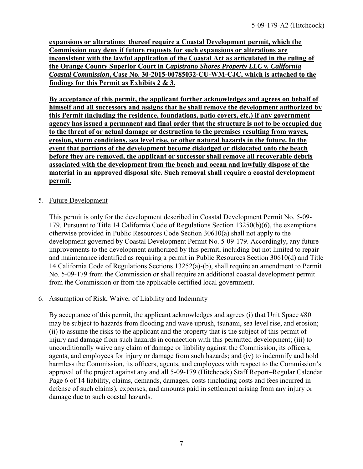**expansions or alterations thereof require a Coastal Development permit, which the Commission may deny if future requests for such expansions or alterations are inconsistent with the lawful application of the Coastal Act as articulated in the ruling of the Orange County Superior Court in** *Capistrano Shores Property LLC v. California Coastal Commission***, Case No. 30-2015-00785032-CU-WM-CJC, which is attached to the findings for this Permit a[s Exhibits 2](https://documents.coastal.ca.gov/reports/2018/8/f24a/f24a-8-2018-exhibits.pdf) & 3.**

**By acceptance of this permit, the applicant further acknowledges and agrees on behalf of himself and all successors and assigns that he shall remove the development authorized by this Permit (including the residence, foundations, patio covers, etc.) if any government agency has issued a permanent and final order that the structure is not to be occupied due to the threat of or actual damage or destruction to the premises resulting from waves, erosion, storm conditions, sea level rise, or other natural hazards in the future. In the event that portions of the development become dislodged or dislocated onto the beach before they are removed, the applicant or successor shall remove all recoverable debris associated with the development from the beach and ocean and lawfully dispose of the material in an approved disposal site. Such removal shall require a coastal development permit.** 

#### 5. Future Development

This permit is only for the development described in Coastal Development Permit No. 5-09- 179. Pursuant to Title 14 California Code of Regulations Section 13250(b)(6), the exemptions otherwise provided in Public Resources Code Section 30610(a) shall not apply to the development governed by Coastal Development Permit No. 5-09-179. Accordingly, any future improvements to the development authorized by this permit, including but not limited to repair and maintenance identified as requiring a permit in Public Resources Section 30610(d) and Title 14 California Code of Regulations Sections 13252(a)-(b), shall require an amendment to Permit No. 5-09-179 from the Commission or shall require an additional coastal development permit from the Commission or from the applicable certified local government.

#### 6. Assumption of Risk, Waiver of Liability and Indemnity

By acceptance of this permit, the applicant acknowledges and agrees (i) that Unit Space #80 may be subject to hazards from flooding and wave uprush, tsunami, sea level rise, and erosion; (ii) to assume the risks to the applicant and the property that is the subject of this permit of injury and damage from such hazards in connection with this permitted development; (iii) to unconditionally waive any claim of damage or liability against the Commission, its officers, agents, and employees for injury or damage from such hazards; and (iv) to indemnify and hold harmless the Commission, its officers, agents, and employees with respect to the Commission's approval of the project against any and all 5-09-179 (Hitchcock) Staff Report–Regular Calendar Page 6 of 14 liability, claims, demands, damages, costs (including costs and fees incurred in defense of such claims), expenses, and amounts paid in settlement arising from any injury or damage due to such coastal hazards.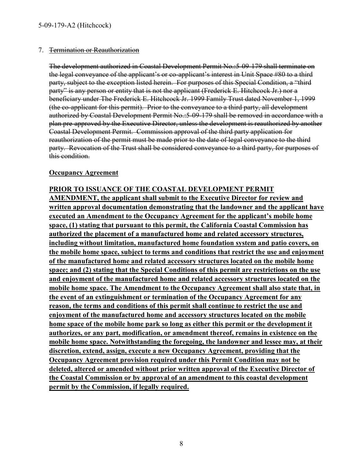#### 7. Termination or Reauthorization

The development authorized in Coastal Development Permit No.:5-09-179 shall terminate on the legal conveyance of the applicant's or co-applicant's interest in Unit Space #80 to a third party, subject to the exception listed herein. For purposes of this Special Condition, a "third party" is any person or entity that is not the applicant (Frederick E. Hitchcock Jr.) nor a beneficiary under The Frederick E. Hitchcock Jr. 1999 Family Trust dated November 1, 1999 (the co-applicant for this permit). Prior to the conveyance to a third party, all development authorized by Coastal Development Permit No.:5-09-179 shall be removed in accordance with a plan pre-approved by the Executive Director, unless the development is reauthorized by another Coastal Development Permit. Commission approval of the third party application for reauthorization of the permit must be made prior to the date of legal conveyance to the third party. Revocation of the Trust shall be considered conveyance to a third party, for purposes of this condition.

#### **Occupancy Agreement**

**PRIOR TO ISSUANCE OF THE COASTAL DEVELOPMENT PERMIT AMENDMENT, the applicant shall submit to the Executive Director for review and written approval documentation demonstrating that the landowner and the applicant have executed an Amendment to the Occupancy Agreement for the applicant's mobile home space, (1) stating that pursuant to this permit, the California Coastal Commission has authorized the placement of a manufactured home and related accessory structures, including without limitation, manufactured home foundation system and patio covers, on the mobile home space, subject to terms and conditions that restrict the use and enjoyment of the manufactured home and related accessory structures located on the mobile home space; and (2) stating that the Special Conditions of this permit are restrictions on the use and enjoyment of the manufactured home and related accessory structures located on the mobile home space. The Amendment to the Occupancy Agreement shall also state that, in the event of an extinguishment or termination of the Occupancy Agreement for any reason, the terms and conditions of this permit shall continue to restrict the use and enjoyment of the manufactured home and accessory structures located on the mobile home space of the mobile home park so long as either this permit or the development it authorizes, or any part, modification, or amendment thereof, remains in existence on the mobile home space. Notwithstanding the foregoing, the landowner and lessee may, at their discretion, extend, assign, execute a new Occupancy Agreement, providing that the Occupancy Agreement provision required under this Permit Condition may not be deleted, altered or amended without prior written approval of the Executive Director of the Coastal Commission or by approval of an amendment to this coastal development permit by the Commission, if legally required.**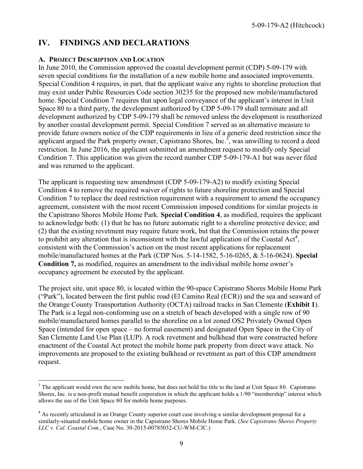### <span id="page-8-0"></span>**IV. FINDINGS AND DECLARATIONS**

#### <span id="page-8-1"></span>**A. PROJECT DESCRIPTION AND LOCATION**

In June 2010, the Commission approved the coastal development permit (CDP) 5-09-179 with seven special conditions for the installation of a new mobile home and associated improvements. Special Condition 4 requires, in part, that the applicant waive any rights to shoreline protection that may exist under Public Resources Code section 30235 for the proposed new mobile/manufactured home. Special Condition 7 requires that upon legal conveyance of the applicant's interest in Unit Space 80 to a third party, the development authorized by CDP 5-09-179 shall terminate and all development authorized by CDP 5-09-179 shall be removed unless the development is reauthorized by another coastal development permit. Special Condition 7 served as an alternative measure to provide future owners notice of the CDP requirements in lieu of a generic deed restriction since the applicant argued the Park property owner, Capistrano Shores, Inc.<sup>3</sup>, was unwilling to record a deed restriction. In June 2016, the applicant submitted an amendment request to modify only Special Condition 7. This application was given the record number CDP 5-09-179-A1 but was never filed and was returned to the applicant.

The applicant is requesting new amendment (CDP 5-09-179-A2) to modify existing Special Condition 4 to remove the required waiver of rights to future shoreline protection and Special Condition 7 to replace the deed restriction requirement with a requirement to amend the occupancy agreement, consistent with the most recent Commission imposed conditions for similar projects in the Capistrano Shores Mobile Home Park. **Special Condition 4**, as modified, requires the applicant to acknowledge both: (1) that he has no future automatic right to a shoreline protective device; and (2) that the existing revetment may require future work, but that the Commission retains the power to prohibit any alteration that is inconsistent with the lawful application of the Coastal Act<sup>4</sup>, consistent with the Commission's action on the most recent applications for replacement mobile/manufactured homes at the Park (CDP Nos. 5-14-1582, 5-16-0265, & 5-16-0624). **Special Condition 7,** as modified, requires an amendment to the individual mobile home owner's occupancy agreement be executed by the applicant.

The project site, unit space 80, is located within the 90-space Capistrano Shores Mobile Home Park ("Park"), located between the first public road (El Camino Real (ECR)) and the sea and seaward of the Orange County Transportation Authority (OCTA) railroad tracks in San Clemente (**Exhibit 1**). The Park is a legal non-conforming use on a stretch of beach developed with a single row of 90 mobile/manufactured homes parallel to the shoreline on a lot zoned OS2 Privately Owned Open Space (intended for open space – no formal easement) and designated Open Space in the City of San Clemente Land Use Plan (LUP). A rock revetment and bulkhead that were constructed before enactment of the Coastal Act protect the mobile home park property from direct wave attack. No improvements are proposed to the existing bulkhead or revetment as part of this CDP amendment request.

 $\overline{a}$ <sup>3</sup> The applicant would own the new mobile home, but does not hold fee title to the land at Unit Space 80. Capistrano Shores, Inc. is a non-profit mutual benefit corporation in which the applicant holds a 1/90 "membership" interest which allows the use of the Unit Space 80 for mobile home purposes.

<sup>&</sup>lt;sup>4</sup> As recently articulated in an Orange County superior court case involving a similar development proposal for a similarly-situated mobile home owner in the Capistrano Shores Mobile Home Park. (*See Capistrano Shores Property LLC v. Cal. Coastal Com.*, Case No. 30-2015-00785032-CU-WM-CJC.)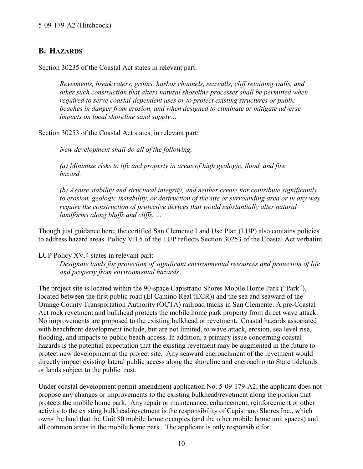# <span id="page-9-0"></span>**B. HAZARDS**

Section 30235 of the Coastal Act states in relevant part:

*Revetments, breakwaters, groins, harbor channels, seawalls, cliff retaining walls, and other such construction that alters natural shoreline processes shall be permitted when required to serve coastal-dependent uses or to protect existing structures or public beaches in danger from erosion, and when designed to eliminate or mitigate adverse impacts on local shoreline sand supply…* 

Section 30253 of the Coastal Act states, in relevant part:

*New development shall do all of the following:* 

*(a) Minimize risks to life and property in areas of high geologic, flood, and fire hazard.* 

*(b) Assure stability and structural integrity, and neither create nor contribute significantly to erosion, geologic instability, or destruction of the site or surrounding area or in any way require the construction of protective devices that would substantially alter natural landforms along bluffs and cliffs. …* 

Though just guidance here, the certified San Clemente Land Use Plan (LUP) also contains policies to address hazard areas. Policy VII.5 of the LUP reflects Section 30253 of the Coastal Act verbatim.

LUP Policy XV.4 states in relevant part:

*Designate lands for protection of significant environmental resources and protection of life and property from environmental hazards…* 

The project site is located within the 90-space Capistrano Shores Mobile Home Park ("Park"), located between the first public road (El Camino Real (ECR)) and the sea and seaward of the Orange County Transportation Authority (OCTA) railroad tracks in San Clemente. A pre-Coastal Act rock revetment and bulkhead protects the mobile home park property from direct wave attack. No improvements are proposed to the existing bulkhead or revetment. Coastal hazards associated with beachfront development include, but are not limited, to wave attack, erosion, sea level rise, flooding, and impacts to public beach access. In addition, a primary issue concerning coastal hazards is the potential expectation that the existing revetment may be augmented in the future to protect new development at the project site. Any seaward encroachment of the revetment would directly impact existing lateral public access along the shoreline and encroach onto State tidelands or lands subject to the public trust.

Under coastal development permit amendment application No. 5-09-179-A2, the applicant does not propose any changes or improvements to the existing bulkhead/revetment along the portion that protects the mobile home park. Any repair or maintenance, enhancement, reinforcement or other activity to the existing bulkhead/revetment is the responsibility of Capistrano Shores Inc., which owns the land that the Unit 80 mobile home occupies (and the other mobile home unit spaces) and all common areas in the mobile home park. The applicant is only responsible for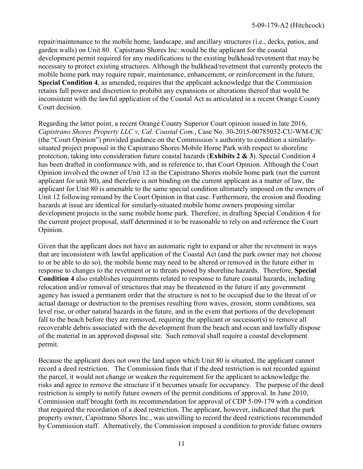repair/maintenance to the mobile home, landscape, and ancillary structures (i.e., decks, patios, and garden walls) on Unit 80. Capistrano Shores Inc. would be the applicant for the coastal development permit required for any modifications to the existing bulkhead/revetment that may be necessary to protect existing structures. Although the bulkhead/revetment that currently protects the mobile home park may require repair, maintenance, enhancement, or reinforcement in the future, **Special Condition 4**, as amended, requires that the applicant acknowledge that the Commission retains full power and discretion to prohibit any expansions or alterations thereof that would be inconsistent with the lawful application of the Coastal Act as articulated in a recent Orange County Court decision.

Regarding the latter point, a recent Orange County Superior Court opinion issued in late 2016, *Capistrano Shores Property LLC v, Cal. Coastal Com.*, Case No. 30-2015-00785032-CU-WM-CJC (the "Court Opinion") provided guidance on the Commission's authority to condition a similarlysituated project proposal in the Capistrano Shores Mobile Home Park with respect to shoreline protection, taking into consideration future coastal hazards (**[Exhibits 2 & 3](https://documents.coastal.ca.gov/reports/2018/8/f24a/f24a-8-2018-exhibits.pdf)**). Special Condition 4 has been drafted in conformance with, and in reference to, that Court Opinion. Although the Court Opinion involved the owner of Unit 12 in the Capistrano Shores mobile home park (not the current applicant for unit 80), and therefore is not binding on the current applicant as a matter of law, the applicant for Unit 80 is amenable to the same special condition ultimately imposed on the owners of Unit 12 following remand by the Court Opinion in that case. Furthermore, the erosion and flooding hazards at issue are identical for similarly-situated mobile home owners proposing similar development projects in the same mobile home park. Therefore, in drafting Special Condition 4 for the current project proposal, staff determined it to be reasonable to rely on and reference the Court Opinion.

Given that the applicant does not have an automatic right to expand or alter the revetment in ways that are inconsistent with lawful application of the Coastal Act (and the park owner may not choose to or be able to do so), the mobile home may need to be altered or removed in the future either in response to changes to the revetment or to threats posed by shoreline hazards. Therefore, **Special Condition 4** also establishes requirements related to response to future coastal hazards, including relocation and/or removal of structures that may be threatened in the future if any government agency has issued a permanent order that the structure is not to be occupied due to the threat of or actual damage or destruction to the premises resulting from waves, erosion, storm conditions, sea level rise, or other natural hazards in the future, and in the event that portions of the development fall to the beach before they are removed, requiring the applicant or successor(s) to remove all recoverable debris associated with the development from the beach and ocean and lawfully dispose of the material in an approved disposal site. Such removal shall require a coastal development permit.

Because the applicant does not own the land upon which Unit 80 is situated, the applicant cannot record a deed restriction. The Commission finds that if the deed restriction is not recorded against the parcel, it would not change or weaken the requirement for the applicant to acknowledge the risks and agree to remove the structure if it becomes unsafe for occupancy. The purpose of the deed restriction is simply to notify future owners of the permit conditions of approval. In June 2010, Commission staff brought forth its recommendation for approval of CDP 5-09-179 with a condition that required the recordation of a deed restriction. The applicant, however, indicated that the park property owner, Capistrano Shores Inc., was unwilling to record the deed restrictions recommended by Commission staff. Alternatively, the Commission imposed a condition to provide future owners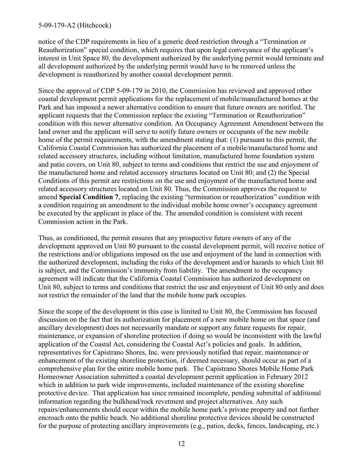#### 5-09-179-A2 (Hitchcock)

notice of the CDP requirements in lieu of a generic deed restriction through a "Termination or Reauthorization" special condition, which requires that upon legal conveyance of the applicant's interest in Unit Space 80, the development authorized by the underlying permit would terminate and all development authorized by the underlying permit would have to be removed unless the development is reauthorized by another coastal development permit.

Since the approval of CDP 5-09-179 in 2010, the Commission has reviewed and approved other coastal development permit applications for the replacement of mobile/manufactured homes at the Park and has imposed a newer alternative condition to ensure that future owners are notified. The applicant requests that the Commission replace the existing "Termination or Reauthorization" condition with this newer alternative condition. An Occupancy Agreement Amendment between the land owner and the applicant will serve to notify future owners or occupants of the new mobile home of the permit requirements, with the amendment stating that: (1) pursuant to this permit, the California Coastal Commission has authorized the placement of a mobile/manufactured home and related accessory structures, including without limitation, manufactured home foundation system and patio covers, on Unit 80, subject to terms and conditions that restrict the use and enjoyment of the manufactured home and related accessory structures located on Unit 80; and (2) the Special Conditions of this permit are restrictions on the use and enjoyment of the manufactured home and related accessory structures located on Unit 80. Thus, the Commission approves the request to amend **Special Condition 7**, replacing the existing "termination or reauthorization" condition with a condition requiring an amendment to the individual mobile home owner's occupancy agreement be executed by the applicant in place of the. The amended condition is consistent with recent Commission action in the Park.

Thus, as conditioned, the permit ensures that any prospective future owners of any of the development approved on Unit 80 pursuant to the coastal development permit, will receive notice of the restrictions and/or obligations imposed on the use and enjoyment of the land in connection with the authorized development, including the risks of the development and/or hazards to which Unit 80 is subject, and the Commission's immunity from liability. The amendment to the occupancy agreement will indicate that the California Coastal Commission has authorized development on Unit 80, subject to terms and conditions that restrict the use and enjoyment of Unit 80 only and does not restrict the remainder of the land that the mobile home park occupies.

Since the scope of the development in this case is limited to Unit 80, the Commission has focused discussion on the fact that its authorization for placement of a new mobile home on that space (and ancillary development) does not necessarily mandate or support any future requests for repair, maintenance, or expansion of shoreline protection if doing so would be inconsistent with the lawful application of the Coastal Act, considering the Coastal Act's policies and goals. In addition, representatives for Capistrano Shores, Inc. were previously notified that repair, maintenance or enhancement of the existing shoreline protection, if deemed necessary, should occur as part of a comprehensive plan for the entire mobile home park. The Capistrano Shores Mobile Home Park Homeowner Association submitted a coastal development permit application in February 2012 which in addition to park wide improvements, included maintenance of the existing shoreline protective device. That application has since remained incomplete, pending submittal of additional information regarding the bulkhead/rock revetment and project alternatives. Any such repairs/enhancements should occur within the mobile home park's private property and not further encroach onto the public beach. No additional shoreline protective devices should be constructed for the purpose of protecting ancillary improvements (e.g., patios, decks, fences, landscaping, etc.)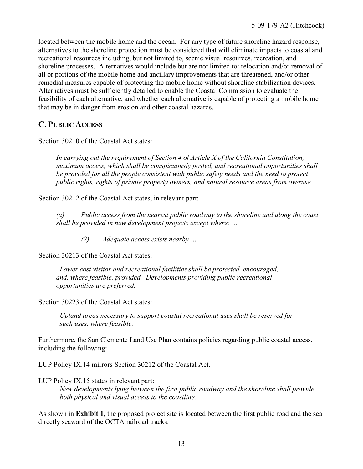located between the mobile home and the ocean. For any type of future shoreline hazard response, alternatives to the shoreline protection must be considered that will eliminate impacts to coastal and recreational resources including, but not limited to, scenic visual resources, recreation, and shoreline processes. Alternatives would include but are not limited to: relocation and/or removal of all or portions of the mobile home and ancillary improvements that are threatened, and/or other remedial measures capable of protecting the mobile home without shoreline stabilization devices. Alternatives must be sufficiently detailed to enable the Coastal Commission to evaluate the feasibility of each alternative, and whether each alternative is capable of protecting a mobile home that may be in danger from erosion and other coastal hazards.

# <span id="page-12-0"></span>**C. PUBLIC ACCESS**

Section 30210 of the Coastal Act states:

*In carrying out the requirement of Section 4 of Article X of the California Constitution, maximum access, which shall be conspicuously posted, and recreational opportunities shall be provided for all the people consistent with public safety needs and the need to protect public rights, rights of private property owners, and natural resource areas from overuse.* 

Section 30212 of the Coastal Act states, in relevant part:

 *(a) Public access from the nearest public roadway to the shoreline and along the coast shall be provided in new development projects except where: …* 

 *(2) Adequate access exists nearby …* 

Section 30213 of the Coastal Act states:

 *Lower cost visitor and recreational facilities shall be protected, encouraged, and, where feasible, provided. Developments providing public recreational opportunities are preferred.* 

Section 30223 of the Coastal Act states:

*Upland areas necessary to support coastal recreational uses shall be reserved for such uses, where feasible.* 

Furthermore, the San Clemente Land Use Plan contains policies regarding public coastal access, including the following:

LUP Policy IX.14 mirrors Section 30212 of the Coastal Act.

LUP Policy IX.15 states in relevant part:

*New developments lying between the first public roadway and the shoreline shall provide both physical and visual access to the coastline.* 

As shown in **[Exhibit 1](https://documents.coastal.ca.gov/reports/2018/8/f24a/f24a-8-2018-exhibits.pdf)**, the proposed project site is located between the first public road and the sea directly seaward of the OCTA railroad tracks.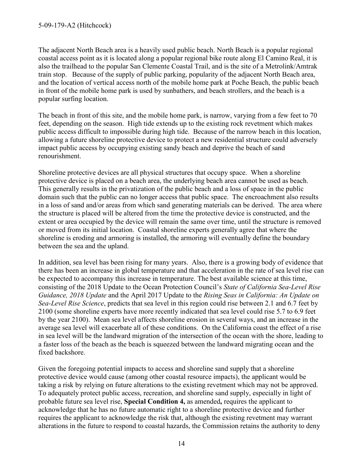The adjacent North Beach area is a heavily used public beach. North Beach is a popular regional coastal access point as it is located along a popular regional bike route along El Camino Real, it is also the trailhead to the popular San Clemente Coastal Trail, and is the site of a Metrolink/Amtrak train stop. Because of the supply of public parking, popularity of the adjacent North Beach area, and the location of vertical access north of the mobile home park at Poche Beach, the public beach in front of the mobile home park is used by sunbathers, and beach strollers, and the beach is a popular surfing location.

The beach in front of this site, and the mobile home park, is narrow, varying from a few feet to 70 feet, depending on the season. High tide extends up to the existing rock revetment which makes public access difficult to impossible during high tide. Because of the narrow beach in this location, allowing a future shoreline protective device to protect a new residential structure could adversely impact public access by occupying existing sandy beach and deprive the beach of sand renourishment.

Shoreline protective devices are all physical structures that occupy space. When a shoreline protective device is placed on a beach area, the underlying beach area cannot be used as beach. This generally results in the privatization of the public beach and a loss of space in the public domain such that the public can no longer access that public space. The encroachment also results in a loss of sand and/or areas from which sand generating materials can be derived. The area where the structure is placed will be altered from the time the protective device is constructed, and the extent or area occupied by the device will remain the same over time, until the structure is removed or moved from its initial location. Coastal shoreline experts generally agree that where the shoreline is eroding and armoring is installed, the armoring will eventually define the boundary between the sea and the upland.

In addition, sea level has been rising for many years. Also, there is a growing body of evidence that there has been an increase in global temperature and that acceleration in the rate of sea level rise can be expected to accompany this increase in temperature. The best available science at this time, consisting of the 2018 Update to the Ocean Protection Council's *State of California Sea-Level Rise Guidance, 2018 Update* and the April 2017 Update to the *Rising Seas in California: An Update on Sea-Level Rise Science*, predicts that sea level in this region could rise between 2.1 and 6.7 feet by 2100 (some shoreline experts have more recently indicated that sea level could rise 5.7 to 6.9 feet by the year 2100). Mean sea level affects shoreline erosion in several ways, and an increase in the average sea level will exacerbate all of these conditions. On the California coast the effect of a rise in sea level will be the landward migration of the intersection of the ocean with the shore, leading to a faster loss of the beach as the beach is squeezed between the landward migrating ocean and the fixed backshore.

Given the foregoing potential impacts to access and shoreline sand supply that a shoreline protective device would cause (among other coastal resource impacts), the applicant would be taking a risk by relying on future alterations to the existing revetment which may not be approved. To adequately protect public access, recreation, and shoreline sand supply, especially in light of probable future sea level rise, **Special Condition 4,** as amended**,** requires the applicant to acknowledge that he has no future automatic right to a shoreline protective device and further requires the applicant to acknowledge the risk that, although the existing revetment may warrant alterations in the future to respond to coastal hazards, the Commission retains the authority to deny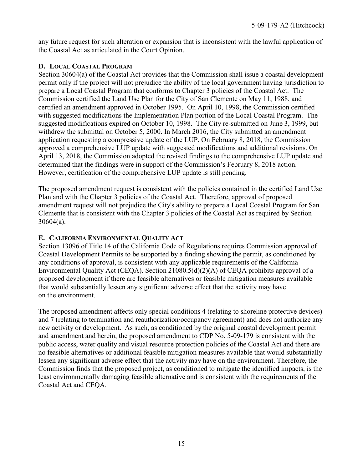any future request for such alteration or expansion that is inconsistent with the lawful application of the Coastal Act as articulated in the Court Opinion.

#### <span id="page-14-0"></span>**D. LOCAL COASTAL PROGRAM**

Section 30604(a) of the Coastal Act provides that the Commission shall issue a coastal development permit only if the project will not prejudice the ability of the local government having jurisdiction to prepare a Local Coastal Program that conforms to Chapter 3 policies of the Coastal Act. The Commission certified the Land Use Plan for the City of San Clemente on May 11, 1988, and certified an amendment approved in October 1995. On April 10, 1998, the Commission certified with suggested modifications the Implementation Plan portion of the Local Coastal Program. The suggested modifications expired on October 10, 1998. The City re-submitted on June 3, 1999, but withdrew the submittal on October 5, 2000. In March 2016, the City submitted an amendment application requesting a compressive update of the LUP. On February 8, 2018, the Commission approved a comprehensive LUP update with suggested modifications and additional revisions. On April 13, 2018, the Commission adopted the revised findings to the comprehensive LUP update and determined that the findings were in support of the Commission's February 8, 2018 action. However, certification of the comprehensive LUP update is still pending.

The proposed amendment request is consistent with the policies contained in the certified Land Use Plan and with the Chapter 3 policies of the Coastal Act. Therefore, approval of proposed amendment request will not prejudice the City's ability to prepare a Local Coastal Program for San Clemente that is consistent with the Chapter 3 policies of the Coastal Act as required by Section 30604(a).

#### **E. CALIFORNIA ENVIRONMENTAL QUALITY ACT**

Section 13096 of Title 14 of the California Code of Regulations requires Commission approval of Coastal Development Permits to be supported by a finding showing the permit, as conditioned by any conditions of approval, is consistent with any applicable requirements of the California Environmental Quality Act (CEQA). Section 21080.5(d)(2)(A) of CEQA prohibits approval of a proposed development if there are feasible alternatives or feasible mitigation measures available that would substantially lessen any significant adverse effect that the activity may have on the environment.

The proposed amendment affects only special conditions 4 (relating to shoreline protective devices) and 7 (relating to termination and reauthorization/occupancy agreement) and does not authorize any new activity or development. As such, as conditioned by the original coastal development permit and amendment and herein, the proposed amendment to CDP No. 5-09-179 is consistent with the public access, water quality and visual resource protection policies of the Coastal Act and there are no feasible alternatives or additional feasible mitigation measures available that would substantially lessen any significant adverse effect that the activity may have on the environment. Therefore, the Commission finds that the proposed project, as conditioned to mitigate the identified impacts, is the least environmentally damaging feasible alternative and is consistent with the requirements of the Coastal Act and CEQA.